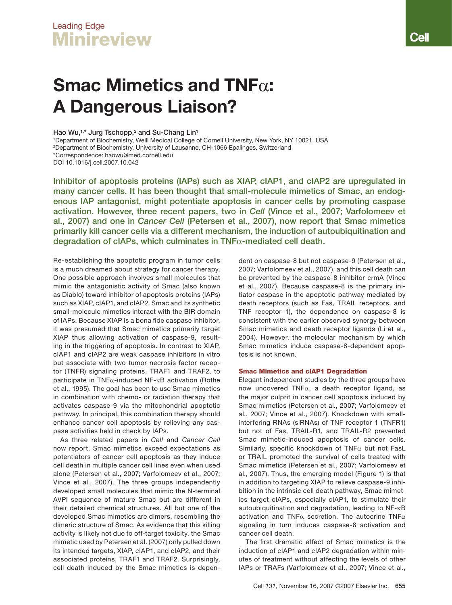# Leading Edge **Minireview**

# Smac Mimetics and TNF $\alpha$ : A Dangerous Liaison?

# Hao Wu,<sup>1,\*</sup> Jurg Tschopp,<sup>2</sup> and Su-Chang Lin<sup>1</sup>

1 Department of Biochemistry, Weill Medical College of Cornell University, New York, NY 10021, USA

2 Department of Biochemistry, University of Lausanne, CH-1066 Epalinges, Switzerland

\*Correspondence: haowu@med.cornell.edu

DOI 10.1016/j.cell.2007.10.042

Inhibitor of apoptosis proteins (IAPs) such as XIAP, cIAP1, and cIAP2 are upregulated in many cancer cells. It has been thought that small-molecule mimetics of Smac, an endogenous IAP antagonist, might potentiate apoptosis in cancer cells by promoting caspase activation. However, three recent papers, two in Cell (Vince et al., 2007; Varfolomeev et al., 2007) and one in Cancer Cell (Petersen et al., 2007), now report that Smac mimetics primarily kill cancer cells via a different mechanism, the induction of autoubiquitination and degradation of cIAPs, which culminates in  $TNF\alpha$ -mediated cell death.

Re-establishing the apoptotic program in tumor cells is a much dreamed about strategy for cancer therapy. One possible approach involves small molecules that mimic the antagonistic activity of Smac (also known as Diablo) toward inhibitor of apoptosis proteins (IAPs) such as XIAP, cIAP1, and cIAP2. Smac and its synthetic small-molecule mimetics interact with the BIR domain of IAPs. Because XIAP is a bona fide caspase inhibitor, it was presumed that Smac mimetics primarily target XIAP thus allowing activation of caspase-9, resulting in the triggering of apoptosis. In contrast to XIAP, cIAP1 and cIAP2 are weak caspase inhibitors in vitro but associate with two tumor necrosis factor receptor (TNFR) signaling proteins, TRAF1 and TRAF2, to participate in  $TNF\alpha$ -induced NF- $\kappa$ B activation (Rothe et al., 1995). The goal has been to use Smac mimetics in combination with chemo- or radiation therapy that activates caspase-9 via the mitochondrial apoptotic pathway. In principal, this combination therapy should enhance cancer cell apoptosis by relieving any caspase activities held in check by IAPs.

As three related papers in Cell and Cancer Cell now report, Smac mimetics exceed expectations as potentiators of cancer cell apoptosis as they induce cell death in multiple cancer cell lines even when used alone (Petersen et al., 2007; Varfolomeev et al., 2007; Vince et al., 2007). The three groups independently developed small molecules that mimic the N-terminal AVPI sequence of mature Smac but are different in their detailed chemical structures. All but one of the developed Smac mimetics are dimers, resembling the dimeric structure of Smac. As evidence that this killing activity is likely not due to off-target toxicity, the Smac mimetic used by Petersen et al. (2007) only pulled down its intended targets, XIAP, cIAP1, and cIAP2, and their associated proteins, TRAF1 and TRAF2. Surprisingly, cell death induced by the Smac mimetics is dependent on caspase-8 but not caspase-9 (Petersen et al., 2007; Varfolomeev et al., 2007), and this cell death can be prevented by the caspase-8 inhibitor crmA (Vince et al., 2007). Because caspase-8 is the primary initiator caspase in the apoptotic pathway mediated by death receptors (such as Fas, TRAIL receptors, and TNF receptor 1), the dependence on caspase-8 is consistent with the earlier observed synergy between Smac mimetics and death receptor ligands (Li et al., 2004). However, the molecular mechanism by which Smac mimetics induce caspase-8-dependent apoptosis is not known.

# Smac Mimetics and cIAP1 Degradation

Elegant independent studies by the three groups have now uncovered  $TNF\alpha$ , a death receptor ligand, as the major culprit in cancer cell apoptosis induced by Smac mimetics (Petersen et al., 2007; Varfolomeev et al., 2007; Vince et al., 2007). Knockdown with smallinterfering RNAs (siRNAs) of TNF receptor 1 (TNFR1) but not of Fas, TRAIL-R1, and TRAIL-R2 prevented Smac mimetic-induced apoptosis of cancer cells. Similarly, specific knockdown of  $TNF\alpha$  but not FasL or TRAIL promoted the survival of cells treated with Smac mimetics (Petersen et al., 2007; Varfolomeev et al., 2007). Thus, the emerging model (Figure 1) is that in addition to targeting XIAP to relieve caspase-9 inhibition in the intrinsic cell death pathway, Smac mimetics target cIAPs, especially cIAP1, to stimulate their autoubiquitination and degradation, leading to  $NF$ - $\kappa$ B activation and TNF $\alpha$  secretion. The autocrine TNF $\alpha$ signaling in turn induces caspase-8 activation and cancer cell death.

The first dramatic effect of Smac mimetics is the induction of cIAP1 and cIAP2 degradation within minutes of treatment without affecting the levels of other IAPs or TRAFs (Varfolomeev et al., 2007; Vince et al.,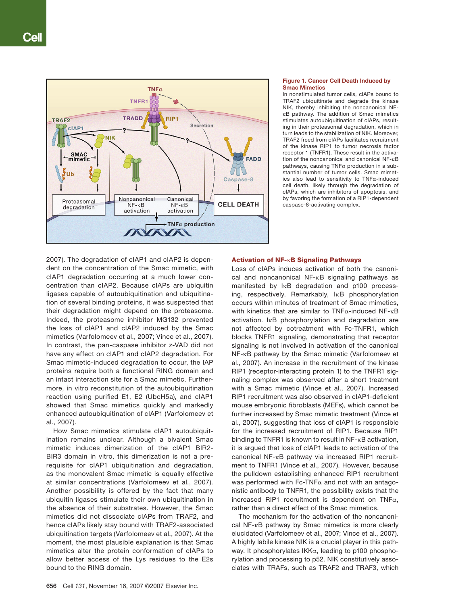

#### Figure 1. Cancer Cell Death Induced by Smac Mimetics

In nonstimulated tumor cells, cIAPs bound to TRAF2 ubiquitinate and degrade the kinase NIK, thereby inhibiting the noncanonical NF- B pathway. The addition of Smac mimetics stimulates autoubiquitination of cIAPs, resulting in their proteasomal degradation, which in turn leads to the stabilization of NIK. Moreover, TRAF2 freed from cIAPs facilitates recruitment of the kinase RIP1 to tumor necrosis factor receptor 1 (TNFR1). These result in the activation of the noncanonical and canonical  $NF - \kappa B$ pathways, causing TNF $\alpha$  production in a substantial number of tumor cells. Smac mimetics also lead to sensitivity to  $TNF\alpha$ -induced cell death, likely through the degradation of cIAPs, which are inhibitors of apoptosis, and by favoring the formation of a RIP1-dependent caspase-8-activating complex.

2007). The degradation of cIAP1 and cIAP2 is dependent on the concentration of the Smac mimetic, with cIAP1 degradation occurring at a much lower concentration than cIAP2. Because cIAPs are ubiquitin ligases capable of autoubiquitination and ubiquitination of several binding proteins, it was suspected that their degradation might depend on the proteasome. Indeed, the proteasome inhibitor MG132 prevented the loss of cIAP1 and cIAP2 induced by the Smac mimetics (Varfolomeev et al., 2007; Vince et al., 2007). In contrast, the pan-caspase inhibitor z-VAD did not have any effect on cIAP1 and cIAP2 degradation. For Smac mimetic-induced degradation to occur, the IAP proteins require both a functional RING domain and an intact interaction site for a Smac mimetic. Furthermore, in vitro reconstitution of the autoubiquitination reaction using purified E1, E2 (UbcH5a), and cIAP1 showed that Smac mimetics quickly and markedly enhanced autoubiquitination of cIAP1 (Varfolomeev et al., 2007).

How Smac mimetics stimulate cIAP1 autoubiquitination remains unclear. Although a bivalent Smac mimetic induces dimerization of the cIAP1 BIR2- BIR3 domain in vitro, this dimerization is not a prerequisite for cIAP1 ubiquitination and degradation, as the monovalent Smac mimetic is equally effective at similar concentrations (Varfolomeev et al., 2007). Another possibility is offered by the fact that many ubiquitin ligases stimulate their own ubiquitination in the absence of their substrates. However, the Smac mimetics did not dissociate cIAPs from TRAF2, and hence cIAPs likely stay bound with TRAF2-associated ubiquitination targets (Varfolomeev et al., 2007). At the moment, the most plausible explanation is that Smac mimetics alter the protein conformation of cIAPs to allow better access of the Lys residues to the E2s bound to the RING domain.

## Activation of NF-KB Signaling Pathways

Loss of cIAPs induces activation of both the canonical and noncanonical  $NF$ - $\kappa$ B signaling pathways as manifested by IKB degradation and p100 processing, respectively. Remarkably,  $I \kappa B$  phosphorylation occurs within minutes of treatment of Smac mimetics, with kinetics that are similar to  $TNF\alpha$ -induced NF- $\kappa B$ activation. IKB phosphorylation and degradation are not affected by cotreatment with Fc-TNFR1, which blocks TNFR1 signaling, demonstrating that receptor signaling is not involved in activation of the canonical  $NF$ - $\kappa$ B pathway by the Smac mimetic (Varfolomeev et al., 2007). An increase in the recruitment of the kinase RIP1 (receptor-interacting protein 1) to the TNFR1 signaling complex was observed after a short treatment with a Smac mimetic (Vince et al., 2007). Increased RIP1 recruitment was also observed in cIAP1-deficient mouse embryonic fibroblasts (MEFs), which cannot be further increased by Smac mimetic treatment (Vince et al., 2007), suggesting that loss of cIAP1 is responsible for the increased recruitment of RIP1. Because RIP1 binding to TNFR1 is known to result in  $NF$ - $\kappa$ B activation, it is argued that loss of cIAP1 leads to activation of the canonical NF-KB pathway via increased RIP1 recruitment to TNFR1 (Vince et al., 2007). However, because the pulldown establishing enhanced RIP1 recruitment was performed with Fc-TNF $\alpha$  and not with an antagonistic antibody to TNFR1, the possibility exists that the increased RIP1 recruitment is dependent on TNF $\alpha$ , rather than a direct effect of the Smac mimetics.

The mechanism for the activation of the noncanonical NF-KB pathway by Smac mimetics is more clearly elucidated (Varfolomeev et al., 2007; Vince et al., 2007). A highly labile kinase NIK is a crucial player in this pathway. It phosphorylates IKK $\alpha$ , leading to p100 phosphorylation and processing to p52. NIK constitutively associates with TRAFs, such as TRAF2 and TRAF3, which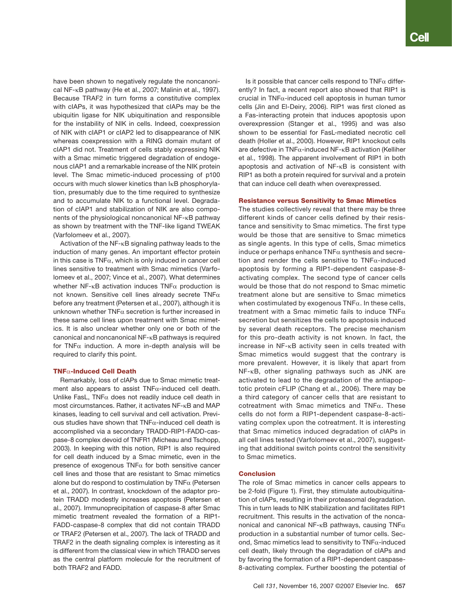have been shown to negatively regulate the noncanonical NF- $\kappa$ B pathway (He et al., 2007; Malinin et al., 1997). Because TRAF2 in turn forms a constitutive complex with cIAPs, it was hypothesized that cIAPs may be the ubiquitin ligase for NIK ubiquitination and responsible for the instability of NIK in cells. Indeed, coexpression of NIK with cIAP1 or cIAP2 led to disappearance of NIK whereas coexpression with a RING domain mutant of cIAP1 did not. Treatment of cells stably expressing NIK with a Smac mimetic triggered degradation of endogenous cIAP1 and a remarkable increase of the NIK protein level. The Smac mimetic-induced processing of p100 occurs with much slower kinetics than  $I_{\kappa}B$  phosphorylation, presumably due to the time required to synthesize and to accumulate NIK to a functional level. Degradation of cIAP1 and stabilization of NIK are also components of the physiological noncanonical  $NF$ - $\kappa$ B pathway as shown by treatment with the TNF-like ligand TWEAK (Varfolomeev et al., 2007).

Activation of the NF- $\kappa$ B signaling pathway leads to the induction of many genes. An important effector protein in this case is  $TNF\alpha$ , which is only induced in cancer cell lines sensitive to treatment with Smac mimetics (Varfolomeev et al., 2007; Vince et al., 2007). What determines whether NF- $\kappa$ B activation induces TNF $\alpha$  production is not known. Sensitive cell lines already secrete  $TNF\alpha$ before any treatment (Petersen et al., 2007), although it is unknown whether  $TNF\alpha$  secretion is further increased in these same cell lines upon treatment with Smac mimetics. It is also unclear whether only one or both of the canonical and noncanonical NF-KB pathways is required for TNF $\alpha$  induction. A more in-depth analysis will be required to clarify this point.

# $TNF\alpha$ -Induced Cell Death

Remarkably, loss of cIAPs due to Smac mimetic treatment also appears to assist  $TNF\alpha$ -induced cell death. Unlike FasL, TNF $\alpha$  does not readily induce cell death in most circumstances. Rather, it activates  $NF$ - $\kappa$ B and MAP kinases, leading to cell survival and cell activation. Previous studies have shown that  $TNF\alpha$ -induced cell death is accomplished via a secondary TRADD-RIP1-FADD-caspase-8 complex devoid of TNFR1 (Micheau and Tschopp, 2003). In keeping with this notion, RIP1 is also required for cell death induced by a Smac mimetic, even in the presence of exogenous TNF $\alpha$  for both sensitive cancer cell lines and those that are resistant to Smac mimetics alone but do respond to costimulation by  $TNF\alpha$  (Petersen et al., 2007). In contrast, knockdown of the adaptor protein TRADD modestly increases apoptosis (Petersen et al., 2007). Immunoprecipitation of caspase-8 after Smac mimetic treatment revealed the formation of a RIP1- FADD-caspase-8 complex that did not contain TRADD or TRAF2 (Petersen et al., 2007). The lack of TRADD and TRAF2 in the death signaling complex is interesting as it is different from the classical view in which TRADD serves as the central platform molecule for the recruitment of both TRAF2 and FADD.

Is it possible that cancer cells respond to TNF $\alpha$  differently? In fact, a recent report also showed that RIP1 is crucial in  $TNF\alpha$ -induced cell apoptosis in human tumor cells (Jin and El-Deiry, 2006). RIP1 was first cloned as a Fas-interacting protein that induces apoptosis upon overexpression (Stanger et al., 1995) and was also shown to be essential for FasL-mediated necrotic cell death (Holler et al., 2000). However, RIP1 knockout cells are defective in TNF $\alpha$ -induced NF- $\kappa$ B activation (Kelliher et al., 1998). The apparent involvement of RIP1 in both apoptosis and activation of  $NF$ - $\kappa$ B is consistent with RIP1 as both a protein required for survival and a protein that can induce cell death when overexpressed.

#### Resistance versus Sensitivity to Smac Mimetics

The studies collectively reveal that there may be three different kinds of cancer cells defined by their resistance and sensitivity to Smac mimetics. The first type would be those that are sensitive to Smac mimetics as single agents. In this type of cells, Smac mimetics induce or perhaps enhance  $TNF\alpha$  synthesis and secretion and render the cells sensitive to  $TNF\alpha$ -induced apoptosis by forming a RIP1-dependent caspase-8 activating complex. The second type of cancer cells would be those that do not respond to Smac mimetic treatment alone but are sensitive to Smac mimetics when costimulated by exogenous  $TNF\alpha$ . In these cells, treatment with a Smac mimetic fails to induce  $TNF\alpha$ secretion but sensitizes the cells to apoptosis induced by several death receptors. The precise mechanism for this pro-death activity is not known. In fact, the increase in  $NF$ - $\kappa$ B activity seen in cells treated with Smac mimetics would suggest that the contrary is more prevalent. However, it is likely that apart from  $NF$ - $\kappa$ B, other signaling pathways such as JNK are activated to lead to the degradation of the antiapoptotic protein cFLIP (Chang et al., 2006). There may be a third category of cancer cells that are resistant to cotreatment with Smac mimetics and TNF $\alpha$ . These cells do not form a RIP1-dependent caspase-8-activating complex upon the cotreatment. It is interesting that Smac mimetics induced degradation of cIAPs in all cell lines tested (Varfolomeev et al., 2007), suggesting that additional switch points control the sensitivity to Smac mimetics.

#### Conclusion

The role of Smac mimetics in cancer cells appears to be 2-fold (Figure 1). First, they stimulate autoubiquitination of cIAPs, resulting in their proteasomal degradation. This in turn leads to NIK stabilization and facilitates RIP1 recruitment. This results in the activation of the noncanonical and canonical NF- $\kappa$ B pathways, causing TNF $\alpha$ production in a substantial number of tumor cells. Second, Smac mimetics lead to sensitivity to  $TNF\alpha$ -induced cell death, likely through the degradation of cIAPs and by favoring the formation of a RIP1-dependent caspase-8-activating complex. Further boosting the potential of